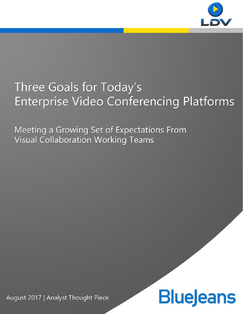

## Three Goals for Today's **Enterprise Video Conferencing Platforms**

Meeting a Growing Set of Expectations From **Visual Collaboration Working Teams** 

**Blue eans** 

August 2017 | Analyst Thought Piece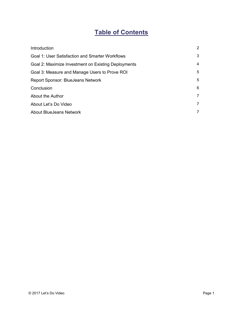### **Table of Contents**

| Introduction                                           | 2              |
|--------------------------------------------------------|----------------|
| <b>Goal 1: User Satisfaction and Smarter Workflows</b> | 3              |
| Goal 2: Maximize Investment on Existing Deployments    | 4              |
| Goal 3: Measure and Manage Users to Prove ROI          | 5              |
| <b>Report Sponsor: BlueJeans Network</b>               | 5              |
| Conclusion                                             | 6              |
| About the Author                                       | $\overline{7}$ |
| About Let's Do Video                                   | $\overline{7}$ |
| <b>About BlueJeans Network</b>                         | $\overline{7}$ |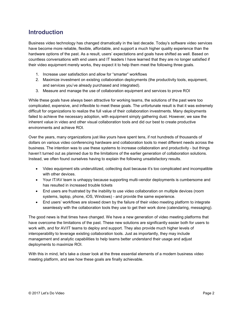#### **Introduction**

Business video technology has changed dramatically in the last decade. Today's software video services have become more reliable, flexible, affordable, and support a much higher quality experience than the hardware options of the past. As a result, users' expectations and goals have shifted as well. Based on countless conversations with end users and IT leaders I have learned that they are no longer satisfied if their video equipment merely works, they expect it to help them meet the following three goals.

- 1. Increase user satisfaction and allow for "smarter" workflows
- 2. Maximize investment on existing collaboration deployments (the productivity tools, equipment, and services you've already purchased and integrated).
- 3. Measure and manage the use of collaboration equipment and services to prove ROI

While these goals have always been attractive for working teams, the solutions of the past were too complicated, expensive, and inflexible to meet these goals. The unfortunate result is that it was extremely difficult for organizations to realize the full value of their collaboration investments. Many deployments failed to achieve the necessary adoption, with equipment simply gathering dust. However, we saw the inherent value in video and other visual collaboration tools and did our best to create productive environments and achieve ROI.

Over the years, many organizations just like yours have spent tens, if not hundreds of thousands of dollars on various video conferencing hardware and collaboration tools to meet different needs across the business. The intention was to use these systems to increase collaboration and productivity - but things haven't turned out as planned due to the limitations of the earlier generation of collaboration solutions. Instead, we often found ourselves having to explain the following unsatisfactory results.

- Video equipment sits underutilized, collecting dust because it's too complicated and incompatible with other devices.
- Your IT/AV team is unhappy because supporting multi-vendor deployments is cumbersome and has resulted in increased trouble tickets
- End users are frustrated by the inability to use video collaboration on multiple devices (room systems, laptop, phone, iOS, Windows) - and provide the same experience.
- End users' workflows are slowed down by the failure of their video meeting platform to integrate seamlessly with the collaboration tools they use to get their work done (calendaring, messaging).

The good news is that times have changed. We have a new generation of video meeting platforms that have overcome the limitations of the past. These new solutions are significantly easier both for users to work with, and for AV/IT teams to deploy and support. They also provide much higher levels of interoperability to leverage existing collaboration tools. Just as importantly, they may include management and analytic capabilities to help teams better understand their usage and adjust deployments to maximize ROI.

With this in mind, let's take a closer look at the three essential elements of a modern business video meeting platform, and see how these goals are finally achievable.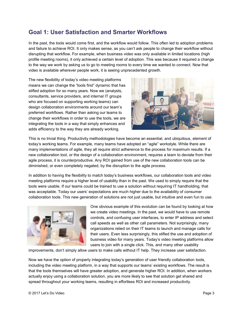#### **Goal 1: User Satisfaction and Smarter Workflows**

In the past, the tools would come first, and the workflow would follow. This often led to adoption problems and failure to achieve ROI. It only makes sense, as you can't ask people to change their workflow without disrupting that workflow. For example, when business video was only available in limited locations (high profile meeting rooms), it only achieved a certain level of adoption. This was because it required a change to the way we work by asking us to go to meeting rooms to every time we wanted to connect. Now that video is available wherever people work, it is seeing unprecedented growth.

The new flexibility of today's video meeting platforms means we can change the "tools first" dynamic that has stifled adoption for so many years. Now we (analysts, consultants, service providers, and internal IT groups who are focused on supporting working teams) can design collaboration environments around our team's preferred workflows. Rather than asking our teams to change their workflows in order to use the tools, we are integrating the tools in a way that simply enhances and adds efficiency to the way they are already working.



This is no trivial thing. Productivity methodologies have become an essential, and ubiquitous, element of today's working teams. For example, many teams have adopted an "agile" workstyle. While there are many implementations of agile, they all require strict adherence to the process for maximum results. If a new collaboration tool, or the design of a collaboration environment, requires a team to deviate from their agile process, it is counterproductive. Any ROI gained from use of the new collaboration tools can be diminished, or even completely negated, by the disruption to the agile process.

In addition to having the flexibility to match today's business workflows, our collaboration tools and video meeting platforms require a higher level of usability than in the past. We used to simply require that the tools were usable. If our teams could be trained to use a solution without requiring IT handholding, that was acceptable. Today our users' expectations are much higher due to the availability of consumer collaboration tools. This new generation of solutions are not just usable, but intuitive and even fun to use.



One obvious example of this evolution can be found by looking at how we create video meetings. In the past, we would have to use remote controls, and confusing user interfaces, to enter IP address and select call speeds as well as other call parameters. Not surprisingly, many organizations relied on their IT teams to launch and manage calls for their users. Even less surprisingly, this stifled the use and adoption of business video for many years. Today's video meeting platforms allow users to join with a single click. This, and many other usability

improvements, don't simply allow users to make calls without IT help. They increase user satisfaction.

Now we have the option of properly integrating today's generation of user friendly collaboration tools, including the video meeting platform, in a way that supports our teams' existing workflows. The result is that the tools themselves will have greater adoption, and generate higher ROI. In addition, when workers actually enjoy using a collaboration solution, you are more likely to see that solution get shared and spread throughout your working teams, resulting in effortless ROI and increased productivity.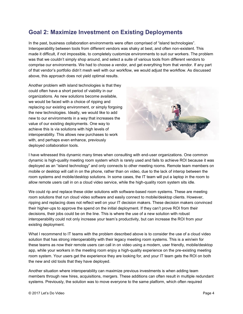#### **Goal 2: Maximize Investment on Existing Deployments**

In the past, business collaboration environments were often comprised of "island technologies". Interoperability between tools from different vendors was shaky at best, and often non-existent. This made it difficult, if not impossible, to completely customize environments to suit our workers. The problem was that we couldn't simply shop around, and select a suite of various tools from different vendors to comprise our environments. We had to choose a vendor, and get everything from that vendor. If any part of that vendor's portfolio didn't mesh well with our workflow, we would adjust the workflow. As discussed above, this approach does not yield optimal results.

Another problem with island technologies is that they could often have a short period of viability in our organizations. As new solutions become available, we would be faced with a choice of ripping and replacing our existing environment, or simply forgoing the new technologies. Ideally, we would like to add new to our environments in a way that increases the value of our existing deployments. One way to achieve this is via solutions with high levels of interoperability. This allows new purchases to work with, and perhaps even enhance, previously deployed collaboration tools.



I have witnessed this dynamic many times when consulting with end-user organizations. One common dynamic is high-quality meeting room system which is rarely used and fails to achieve ROI because it was deployed as an "island technology" and only connects to other meeting rooms. Remote team members on mobile or desktop will call in on the phone, rather than on video, due to the lack of interop between the room systems and mobile/desktop solutions. In some cases, the IT team will put a laptop in the room to allow remote users call in on a cloud video service, while the high-quality room system sits idle.

We could rip and replace these older solutions with software-based room systems. These are meeting room solutions that run cloud video software and easily connect to mobile/desktop clients. However, ripping and replacing does not reflect well on your IT decision makers. These decision makers convinced their higher-ups to approve the spend on the initial deployment. If they can't prove ROI from their decisions, their jobs could be on the line. This is where the use of a new solution with robust interoperability could not only increase your team's productivity, but can increase the ROI from your existing deployment.

What I recommend to IT teams with the problem described above is to consider the use of a cloud video solution that has strong interoperability with their legacy meeting room systems. This is a win/win for these teams as now their remote users can call in on video using a modern, user friendly, mobile/desktop app, while your workers in the meeting room enjoy a high-quality experience on the pre-existing meeting room system. Your users get the experience they are looking for, and your IT team gets the ROI on both the new and old tools that they have deployed.

Another situation where interoperability can maximize previous investments is when adding team members through new hires, acquisitions, mergers. These additions can often result in multiple redundant systems. Previously, the solution was to move everyone to the same platform, which often required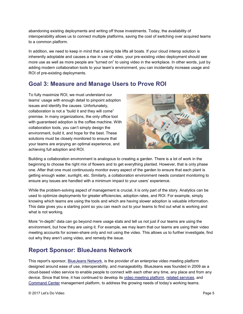abandoning existing deployments and writing off those investments. Today, the availability of interoperability allows us to connect multiple platforms, saving the cost of switching over acquired teams to a common platform.

In addition, we need to keep in mind that a rising tide lifts all boats. If your cloud interop solution is inherently adoptable and causes a rise in use of video, your pre-existing video deployment should see more use as well as more people are "turned on" to using video in the workplace. In other words, just by adding modern collaboration tools to your team's environment, you can incidentally increase usage and ROI of pre-existing deployments.

#### **Goal 3: Measure and Manage Users to Prove ROI**

To fully maximize ROI, we must understand our teams' usage with enough detail to pinpoint adoption issues and identify the causes. Unfortunately, collaboration is not a "build it and they will come" premise. In many organizations, the only office tool with guaranteed adoption is the coffee machine. With collaboration tools, you can't simply design the environment, build it, and hope for the best. These solutions must be closely monitored to ensure that your teams are enjoying an optimal experience, and achieving full adoption and ROI.



Building a collaboration environment is analogous to creating a garden. There is a lot of work in the beginning to choose the right mix of flowers and to get everything planted. However, that is only phase one. After that one must continuously monitor every aspect of the garden to ensure that each plant is getting enough water, sunlight, etc. Similarly, a collaboration environment needs constant monitoring to ensure any issues are handled with a minimum impact to your users' experience.

While the problem-solving aspect of management is crucial, it is only part of the story. Analytics can be used to optimize deployments for greater efficiencies, adoption rates, and ROI. For example, simply knowing which teams are using the tools and which are having slower adoption is valuable information. This data gives you a starting point so you can reach out to your teams to find out what is working and what is not working.

More "in-depth" data can go beyond mere usage stats and tell us not just if our teams are using the environment, but how they are using it. For example, we may learn that our teams are using their video meeting accounts for screen-share only and not using the video. This allows us to further investigate, find out why they aren't using video, and remedy the issue.

#### **Report Sponsor: BlueJeans Network**

This report's sponsor, **BlueJeans Network**, is the provider of an enterprise video meeting platform designed around ease of use, interoperability, and manageability. BlueJeans was founded in 2009 as a cloud-based video service to enable people to connect with each other any time, any place and from any device. Since that time, it has continued to develop its video meeting platform, related services, and Command Center management platform, to address the growing needs of today's working teams.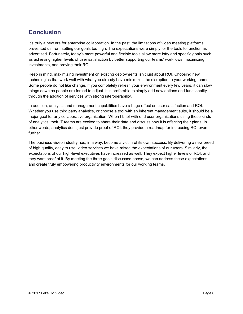#### **Conclusion**

It's truly a new era for enterprise collaboration. In the past, the limitations of video meeting platforms prevented us from setting our goals too high. The expectations were simply for the tools to function as advertised. Fortunately, today's more powerful and flexible tools allow more lofty and specific goals such as achieving higher levels of user satisfaction by better supporting our teams' workflows, maximizing investments, and proving their ROI.

Keep in mind, maximizing investment on existing deployments isn't just about ROI. Choosing new technologies that work well with what you already have minimizes the disruption to your working teams. Some people do not like change. If you completely refresh your environment every few years, it can slow things down as people are forced to adjust. It is preferable to simply add new options and functionality through the addition of services with strong interoperability.

In addition, analytics and management capabilities have a huge effect on user satisfaction and ROI. Whether you use third party analytics, or choose a tool with an inherent management suite, it should be a major goal for any collaborative organization. When I brief with end user organizations using these kinds of analytics, their IT teams are excited to share their data and discuss how it is affecting their plans. In other words, analytics don't just provide proof of ROI, they provide a roadmap for increasing ROI even further.

The business video industry has, in a way, become a victim of its own success. By delivering a new breed of high quality, easy to use, video services we have raised the expectations of our users. Similarly, the expectations of our high-level executives have increased as well. They expect higher levels of ROI, and they want proof of it. By meeting the three goals discussed above, we can address these expectations and create truly empowering productivity environments for our working teams.